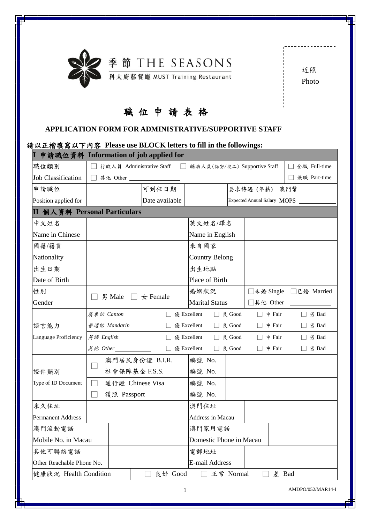

| 近照    |  |
|-------|--|
| Photo |  |
|       |  |

ī

## 職 位 申 請 表 格

| <b>APPLICATION FORM FOR ADMINISTRATIVE/SUPPORTIVE STAFF</b>                                               |            |                           |                          |               |        |                         |               |                              |     |                |
|-----------------------------------------------------------------------------------------------------------|------------|---------------------------|--------------------------|---------------|--------|-------------------------|---------------|------------------------------|-----|----------------|
| 請以正楷填寫以下內容 Please use BLOCK letters to fill in the followings:<br>I 申請職位資料 Information of job applied for |            |                           |                          |               |        |                         |               |                              |     |                |
| 職位類別                                                                                                      |            | 行政人員 Administrative Staff |                          |               |        |                         |               | 輔助人員(保安/校工) Supportive Staff |     | □ 全職 Full-time |
| <b>Job Classification</b>                                                                                 |            |                           |                          |               |        |                         |               |                              |     | 兼職 Part-time   |
| 申請職位                                                                                                      |            |                           | 可到任日期                    |               |        |                         |               | 要求待遇 (年薪)                    | 澳門幣 |                |
| Position applied for                                                                                      |            |                           | Date available           |               |        |                         |               | Expected Annual Salary MOP\$ |     |                |
| II 個人資料 Personal Particulars                                                                              |            |                           |                          |               |        |                         |               |                              |     |                |
| 中文姓名                                                                                                      |            |                           |                          |               |        | 英文姓名/譯名                 |               |                              |     |                |
| Name in Chinese                                                                                           |            |                           |                          |               |        | Name in English         |               |                              |     |                |
| 國籍/籍貫                                                                                                     |            |                           |                          |               | 來自國家   |                         |               |                              |     |                |
| Nationality                                                                                               |            |                           |                          |               |        | Country Belong          |               |                              |     |                |
| 出生日期                                                                                                      |            |                           |                          |               | 出生地點   |                         |               |                              |     |                |
| Date of Birth                                                                                             |            |                           |                          |               |        | Place of Birth          |               |                              |     |                |
| 性別                                                                                                        |            |                           |                          |               | 婚姻狀況   |                         |               | □未婚 Single □已婚 Married       |     |                |
| Gender                                                                                                    |            | 男 Male                    | $\Box$ $\bigstar$ Female |               |        | <b>Marital Status</b>   |               | □其他 Other                    |     |                |
|                                                                                                           | 廣東話 Canton |                           |                          | □ 優 Excellent |        |                         | □ 良 Good      | $\Box$ 中 Fair                |     | □ 劣 Bad        |
| 語言能力                                                                                                      |            | 普通話 Mandarin              |                          |               |        | □ 優 Excellent □ 良 Good  |               | $\Box$ $\dot{P}$ Fair        |     | $\Box$ 劣 Bad   |
| Language Proficiency                                                                                      | 英語 English |                           |                          | □ 優 Excellent |        | П                       | 良 Good        | 中 Fair                       |     | $\Box$ 劣 Bad   |
|                                                                                                           |            | 其他 Other $\Box$           |                          | □ 優 Excellent |        |                         | $\Box$ & Good | $\dot{P}$ Fair               |     | □ 劣 Bad        |
|                                                                                                           |            | 澳門居民身份證 B.I.R.            |                          |               | 編號 No. |                         |               |                              |     |                |
| 證件類別                                                                                                      |            | 社會保障基金 F.S.S.             |                          |               | 編號 No. |                         |               |                              |     |                |
| Type of ID Document                                                                                       |            | 通行證 Chinese Visa          |                          |               | 編號 No. |                         |               |                              |     |                |
|                                                                                                           |            | 護照 Passport               |                          |               | 編號 No. |                         |               |                              |     |                |
| 永久住址                                                                                                      |            |                           |                          |               | 澳門住址   |                         |               |                              |     |                |
| <b>Permanent Address</b>                                                                                  |            |                           |                          |               |        | Address in Macau        |               |                              |     |                |
| 澳門流動電話                                                                                                    |            |                           |                          |               |        | 澳門家用電話                  |               |                              |     |                |
| Mobile No. in Macau                                                                                       |            |                           |                          |               |        | Domestic Phone in Macau |               |                              |     |                |

健康狀況 Health Condition │ □ 良好 Good □ 正常 Normal □ 差 Bad

電郵地址

E-mail Address

其他可聯絡電話

Other Reachable Phone No.

1 AMDPO/052/MAR14-I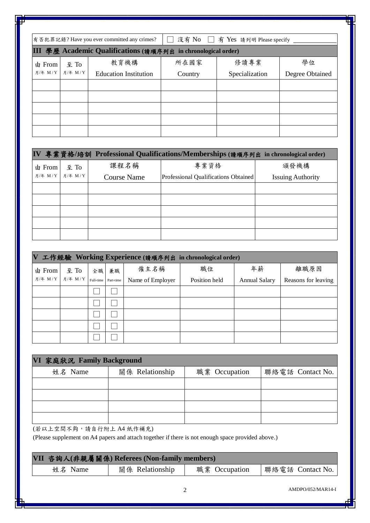|                     |                       | 有否犯罪記錄? Have you ever committed any crimes?                   | <b>COL</b> | 沒有 No □ 有 Yes 請列明 Please specify |                 |
|---------------------|-----------------------|---------------------------------------------------------------|------------|----------------------------------|-----------------|
|                     |                       | III 學歷 Academic Qualifications (請順序列出 in chronological order) |            |                                  |                 |
| 由 From $\vert$ 至 To |                       | 教育機構                                                          | 所在國家       | 修讀專業                             | 學位              |
|                     | 月/年 M / Y   月/年 M / Y | <b>Education Institution</b>                                  | Country    | Specialization                   | Degree Obtained |
|                     |                       |                                                               |            |                                  |                 |
|                     |                       |                                                               |            |                                  |                 |
|                     |                       |                                                               |            |                                  |                 |
|                     |                       |                                                               |            |                                  |                 |
|                     |                       |                                                               |            |                                  |                 |

|         |                             |                    | IV 專業資格/培訓 Professional Qualifications/Memberships (請順序列出 in chronological order) |                          |
|---------|-----------------------------|--------------------|-----------------------------------------------------------------------------------|--------------------------|
| 由 From  | $\mathbf{\underline{4}}$ To | 課程名稱               | 專業資格                                                                              | 頒發機構                     |
| 月/年 M/Y | 月/年 M/Y                     | <b>Course Name</b> | Professional Qualifications Obtained                                              | <b>Issuing Authority</b> |
|         |                             |                    |                                                                                   |                          |
|         |                             |                    |                                                                                   |                          |
|         |                             |                    |                                                                                   |                          |
|         |                             |                    |                                                                                   |                          |
|         |                             |                    |                                                                                   |                          |

| $\mathbf{V}$ | 工作經驗 Working Experience (請順序列出 in chronological order) |    |    |                  |               |                      |                     |  |  |  |
|--------------|--------------------------------------------------------|----|----|------------------|---------------|----------------------|---------------------|--|--|--|
| 由 From       | 至 To                                                   | 全職 | 兼職 | 僱主名稱             | 職位            | 年薪                   | 離職原因                |  |  |  |
| 月/年 M/Y      | 月/年 $M/Y$ Full-time Part-time                          |    |    | Name of Employer | Position held | <b>Annual Salary</b> | Reasons for leaving |  |  |  |
|              |                                                        |    |    |                  |               |                      |                     |  |  |  |
|              |                                                        |    |    |                  |               |                      |                     |  |  |  |
|              |                                                        |    |    |                  |               |                      |                     |  |  |  |
|              |                                                        |    |    |                  |               |                      |                     |  |  |  |
|              |                                                        |    |    |                  |               |                      |                     |  |  |  |

| VI 家庭狀況 Family Background |                 |               |                  |  |  |  |  |
|---------------------------|-----------------|---------------|------------------|--|--|--|--|
| 姓名 Name                   | 關係 Relationship | 職業 Occupation | 聯絡電話 Contact No. |  |  |  |  |
|                           |                 |               |                  |  |  |  |  |
|                           |                 |               |                  |  |  |  |  |
|                           |                 |               |                  |  |  |  |  |
|                           |                 |               |                  |  |  |  |  |

(若以上空間不夠,請自行附上 A4 紙作補充)

(Please supplement on A4 papers and attach together if there is not enough space provided above.)

| VII 咨詢人(非親屬關係) Referees (Non-family members) |                 |               |                  |  |  |  |
|----------------------------------------------|-----------------|---------------|------------------|--|--|--|
| 姓名 Name                                      | 關係 Relationship | 職業 Occupation | 聯絡電話 Contact No. |  |  |  |

2 AMDPO/052/MAR14-I